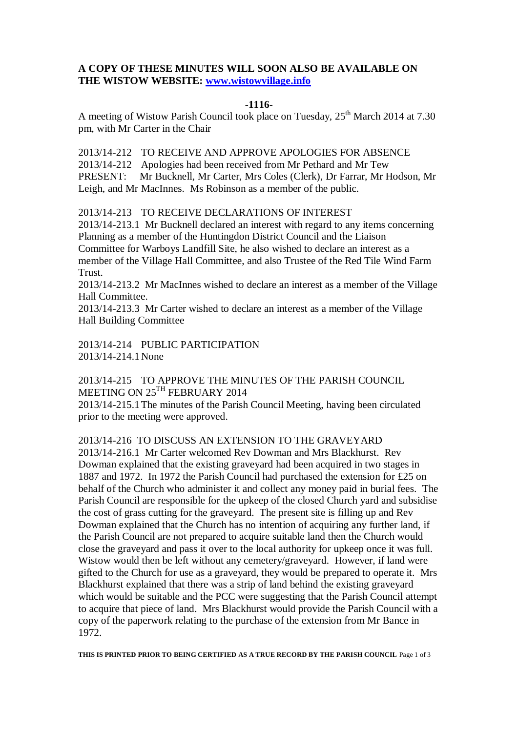## **A COPY OF THESE MINUTES WILL SOON ALSO BE AVAILABLE ON THE WISTOW WEBSITE: [www.wistowvillage.info](http://www.wistowvillage.info/)**

#### **-1116-**

A meeting of Wistow Parish Council took place on Tuesday, 25<sup>th</sup> March 2014 at 7.30 pm, with Mr Carter in the Chair

2013/14-212 TO RECEIVE AND APPROVE APOLOGIES FOR ABSENCE 2013/14-212 Apologies had been received from Mr Pethard and Mr Tew PRESENT: Mr Bucknell, Mr Carter, Mrs Coles (Clerk), Dr Farrar, Mr Hodson, Mr Leigh, and Mr MacInnes. Ms Robinson as a member of the public.

2013/14-213 TO RECEIVE DECLARATIONS OF INTEREST

2013/14-213.1 Mr Bucknell declared an interest with regard to any items concerning Planning as a member of the Huntingdon District Council and the Liaison

Committee for Warboys Landfill Site, he also wished to declare an interest as a member of the Village Hall Committee, and also Trustee of the Red Tile Wind Farm Trust.

2013/14-213.2 Mr MacInnes wished to declare an interest as a member of the Village Hall Committee.

2013/14-213.3 Mr Carter wished to declare an interest as a member of the Village Hall Building Committee

2013/14-214 PUBLIC PARTICIPATION 2013/14-214.1None

## 2013/14-215 TO APPROVE THE MINUTES OF THE PARISH COUNCIL MEETING ON 25<sup>TH</sup> FEBRUARY 2014

2013/14-215.1The minutes of the Parish Council Meeting, having been circulated prior to the meeting were approved.

# 2013/14-216 TO DISCUSS AN EXTENSION TO THE GRAVEYARD

2013/14-216.1 Mr Carter welcomed Rev Dowman and Mrs Blackhurst. Rev Dowman explained that the existing graveyard had been acquired in two stages in 1887 and 1972. In 1972 the Parish Council had purchased the extension for £25 on behalf of the Church who administer it and collect any money paid in burial fees. The Parish Council are responsible for the upkeep of the closed Church yard and subsidise the cost of grass cutting for the graveyard. The present site is filling up and Rev Dowman explained that the Church has no intention of acquiring any further land, if the Parish Council are not prepared to acquire suitable land then the Church would close the graveyard and pass it over to the local authority for upkeep once it was full. Wistow would then be left without any cemetery/graveyard. However, if land were gifted to the Church for use as a graveyard, they would be prepared to operate it. Mrs Blackhurst explained that there was a strip of land behind the existing graveyard which would be suitable and the PCC were suggesting that the Parish Council attempt to acquire that piece of land. Mrs Blackhurst would provide the Parish Council with a copy of the paperwork relating to the purchase of the extension from Mr Bance in 1972.

**THIS IS PRINTED PRIOR TO BEING CERTIFIED AS A TRUE RECORD BY THE PARISH COUNCIL** Page 1 of 3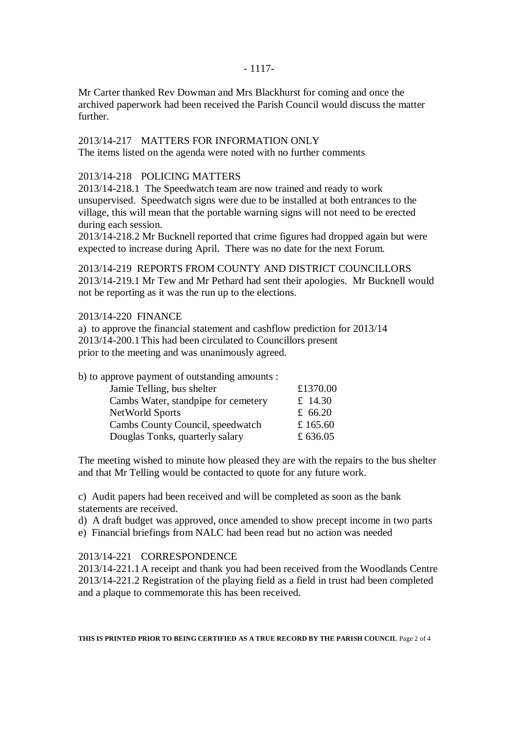Mr Carter thanked Rev Dowman and Mrs Blackhurst for coming and once the archived paperwork had been received the Parish Council would discuss the matter further.

# 2013/14-217 MATTERS FOR INFORMATION ONLY

The items listed on the agenda were noted with no further comments

## 2013/14-218 POLICING MATTERS

2013/14-218.1 The Speedwatch team are now trained and ready to work unsupervised. Speedwatch signs were due to be installed at both entrances to the village, this will mean that the portable warning signs will not need to be erected during each session.

2013/14-218.2 Mr Bucknell reported that crime figures had dropped again but were expected to increase during April. There was no date for the next Forum.

2013/14-219 REPORTS FROM COUNTY AND DISTRICT COUNCILLORS 2013/14-219.1 Mr Tew and Mr Pethard had sent their apologies. Mr Bucknell would not be reporting as it was the run up to the elections.

## 2013/14-220 FINANCE

a) to approve the financial statement and cashflow prediction for 2013/14 2013/14-200.1This had been circulated to Councillors present prior to the meeting and was unanimously agreed.

| b) to approve payment of outstanding amounts : |            |
|------------------------------------------------|------------|
| Jamie Telling, bus shelter                     | £1370.00   |
| Cambs Water, standpipe for cemetery            | £ 14.30    |
| NetWorld Sports                                | £ $66.20$  |
| Cambs County Council, speedwatch               | £ $165.60$ |
| Douglas Tonks, quarterly salary                | £ 636.05   |
|                                                |            |

The meeting wished to minute how pleased they are with the repairs to the bus shelter and that Mr Telling would be contacted to quote for any future work.

c) Audit papers had been received and will be completed as soon as the bank statements are received.

d) A draft budget was approved, once amended to show precept income in two parts

e) Financial briefings from NALC had been read but no action was needed

### 2013/14-221 CORRESPONDENCE

2013/14-221.1A receipt and thank you had been received from the Woodlands Centre 2013/14-221.2 Registration of the playing field as a field in trust had been completed and a plaque to commemorate this has been received.

**THIS IS PRINTED PRIOR TO BEING CERTIFIED AS A TRUE RECORD BY THE PARISH COUNCIL** Page 2 of 4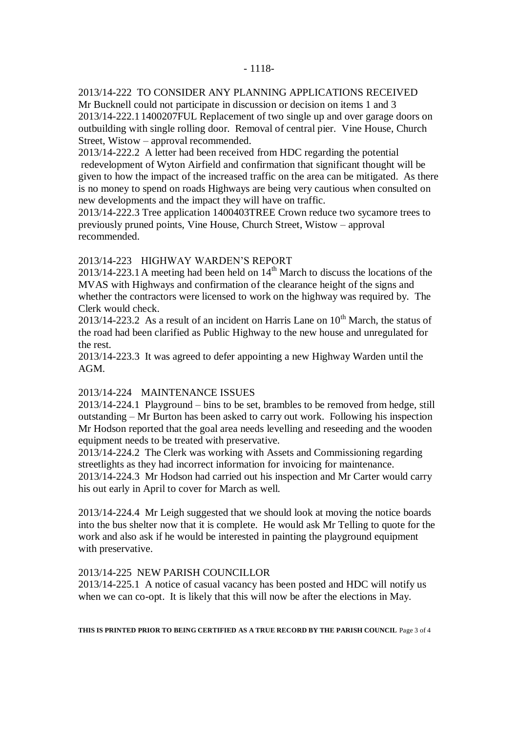#### 2013/14-222 TO CONSIDER ANY PLANNING APPLICATIONS RECEIVED

Mr Bucknell could not participate in discussion or decision on items 1 and 3 2013/14-222.11400207FUL Replacement of two single up and over garage doors on outbuilding with single rolling door. Removal of central pier. Vine House, Church Street, Wistow – approval recommended.

2013/14-222.2 A letter had been received from HDC regarding the potential redevelopment of Wyton Airfield and confirmation that significant thought will be given to how the impact of the increased traffic on the area can be mitigated. As there is no money to spend on roads Highways are being very cautious when consulted on new developments and the impact they will have on traffic.

2013/14-222.3 Tree application 1400403TREE Crown reduce two sycamore trees to previously pruned points, Vine House, Church Street, Wistow – approval recommended.

### 2013/14-223 HIGHWAY WARDEN'S REPORT

 $2013/14-223.1$  A meeting had been held on  $14<sup>th</sup>$  March to discuss the locations of the MVAS with Highways and confirmation of the clearance height of the signs and whether the contractors were licensed to work on the highway was required by. The Clerk would check.

 $2013/14$ -223.2 As a result of an incident on Harris Lane on  $10<sup>th</sup>$  March, the status of the road had been clarified as Public Highway to the new house and unregulated for the rest.

2013/14-223.3 It was agreed to defer appointing a new Highway Warden until the AGM.

#### 2013/14-224 MAINTENANCE ISSUES

2013/14-224.1 Playground – bins to be set, brambles to be removed from hedge, still outstanding – Mr Burton has been asked to carry out work. Following his inspection Mr Hodson reported that the goal area needs levelling and reseeding and the wooden equipment needs to be treated with preservative.

2013/14-224.2 The Clerk was working with Assets and Commissioning regarding streetlights as they had incorrect information for invoicing for maintenance.

2013/14-224.3 Mr Hodson had carried out his inspection and Mr Carter would carry his out early in April to cover for March as well.

2013/14-224.4 Mr Leigh suggested that we should look at moving the notice boards into the bus shelter now that it is complete. He would ask Mr Telling to quote for the work and also ask if he would be interested in painting the playground equipment with preservative.

#### 2013/14-225 NEW PARISH COUNCILLOR

2013/14-225.1 A notice of casual vacancy has been posted and HDC will notify us when we can co-opt. It is likely that this will now be after the elections in May.

**THIS IS PRINTED PRIOR TO BEING CERTIFIED AS A TRUE RECORD BY THE PARISH COUNCIL** Page 3 of 4